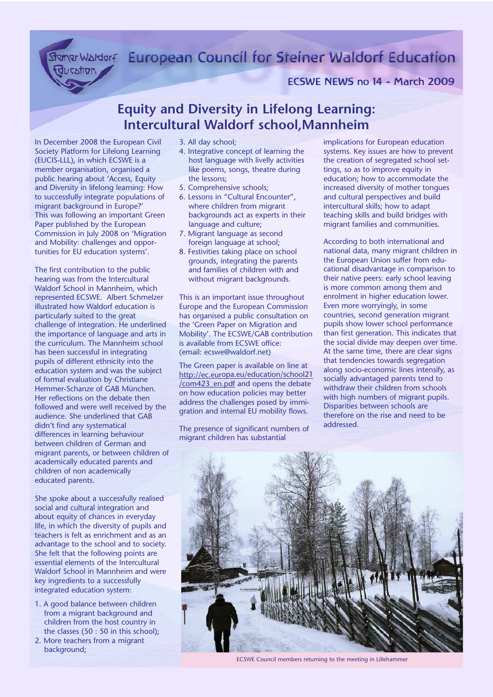Stanw Waldorf European Council for Steiner Waldorf Education

ECSWE NEWS no 14 - March 2009

## **Equity and Diversity in Lifelong Learning: Intercultural Waldorf school,Mannheim**

In December 2008 the European Civil Society Platform for Lifelong Learning (EUCIS-LLL), in which ECSWE is a member organisation, organised a public hearing about 'Access, Equity and Diversity in lifelong learning: How to successfully integrate populations of migrant background in Europe?' This was following an important Green Paper published by the European Commission in July 2008 on 'Migration and Mobility: challenges and opportunities for EU education systems'.

ducation

The first contribution to the public hearing was from the Intercultural Waldorf School in Mannheim, which represented ECSWE. Albert Schmelzer illustrated how Waldorf education is particularly suited to the great challenge of integration. He underlined the importance of language and arts in the curriculum. The Mannheim school has been successful in integrating pupils of different ethnicity into the education system and was the subject of formal evaluation by Christiane Hemmer-Schanze of GAB München. Her reflections on the debate then followed and were well received by the audience. She underlined that GAB didn't find any systematical differences in learning behaviour between children of German and migrant parents, or between children of academically educated parents and children of non academically educated parents.

She spoke about a successfully realised social and cultural integration and about equity of chances in everyday life, in which the diversity of pupils and teachers is felt as enrichment and as an advantage to the school and to society. She felt that the following points are essential elements of the Intercultural Waldorf School in Mannheim and were key ingredients to a successfully integrated education system:

- 1. A good balance between children from a migrant background and children from the host country in the classes (50 : 50 in this school);
- 2. More teachers from a migrant background;
- 3. All day school;
- 4. Integrative concept of learning the host language with livelly activities like poems, songs, theatre during the lessons;
- 5. Comprehensive schools;
- 6. Lessons in "Cultural Encounter", where children from migrant backgrounds act as experts in their language and culture;
- 7. Migrant language as second foreign language at school;
- 8. Festivities taking place on school grounds, integrating the parents and families of children with and without migrant backgrounds.

This is an important issue throughout Europe and the European Commission has organised a public consultation on the 'Green Paper on Migration and Mobility'. The ECSWE/GAB contribution is available from ECSWE office: (email: ecswe@waldorf.net)

The Green paper is available on line at http://ec.europa.eu/education/school21 /com423\_en.pdf and opens the debate on how education policies may better address the challenges posed by immigration and internal EU mobility flows.

The presence of significant numbers of migrant children has substantial

implications for European education systems. Key issues are how to prevent the creation of segregated school settings, so as to improve equity in education; how to accommodate the increased diversity of mother tongues and cultural perspectives and build intercultural skills; how to adapt teaching skills and build bridges with migrant families and communities.

According to both international and national data, many migrant children in the European Union suffer from educational disadvantage in comparison to their native peers: early school leaving is more common among them and enrolment in higher education lower. Even more worryingly, in some countries, second generation migrant pupils show lower school performance than first generation. This indicates that the social divide may deepen over time. At the same time, there are clear signs that tendencies towards segregation along socio-economic lines intensify, as socially advantaged parents tend to withdraw their children from schools with high numbers of migrant pupils. Disparities between schools are therefore on the rise and need to be addressed.



ECSWE Council members returning to the meeting in Lillehammer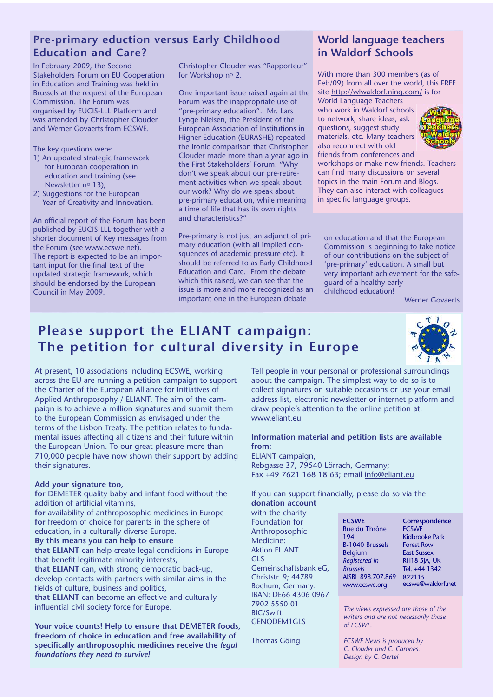## **Pre-primary eduction versus Early Childhood Education and Care?**

In February 2009, the Second Stakeholders Forum on EU Cooperation in Education and Training was held in Brussels at the request of the European Commission. The Forum was organised by EUCIS-LLL Platform and was attended by Christopher Clouder and Werner Govaerts from ECSWE.

The key questions were:

- 1) An updated strategic framework for European cooperation in education and training (see Newsletter no 13);
- 2) Suggestions for the European Year of Creativity and Innovation.

An official report of the Forum has been published by EUCIS-LLL together with a shorter document of Key messages from the Forum (see www.ecswe.net). The report is expected to be an important input for the final text of the updated strategic framework, which should be endorsed by the European Council in May 2009.

Christopher Clouder was "Rapporteur" for Workshop nº 2.

One important issue raised again at the Forum was the inappropriate use of "pre-primary education". Mr. Lars Lynge Nielsen, the President of the European Association of Institutions in Higher Education (EURASHE) repeated the ironic comparison that Christopher Clouder made more than a year ago in the First Stakeholders' Forum: "Why don't we speak about our pre-retirement activities when we speak about our work? Why do we speak about pre-primary education, while meaning a time of life that has its own rights and characteristics?"

Pre-primary is not just an adjunct of primary education (with all implied consquences of academic pressure etc). It should be referred to as Early Childhood Education and Care. From the debate which this raised, we can see that the issue is more and more recognized as an important one in the European debate

### **World language teachers in Waldorf Schools**

With more than 300 members (as of Feb/09) from all over the world, this FREE site http://wlwaldorf.ning.com/ is for

World Language Teachers who work in Waldorf schools to network, share ideas, ask questions, suggest study materials, etc. Many teachers also reconnect with old friends from conferences and



workshops or make new friends. Teachers can find many discussions on several topics in the main Forum and Blogs. They can also interact with colleagues in specific language groups.

on education and that the European Commission is beginning to take notice of our contributions on the subject of 'pre-primary' education. A small but very important achievement for the safeguard of a healthy early childhood education!

Werner Govaerts

# **Please support the ELIANT campaign: The petition for cultural diversity in Europe**



**nce** 

rf.net

At present, 10 associations including ECSWE, working across the EU are running a petition campaign to support the Charter of the European Alliance for Initiatives of Applied Anthroposophy / ELIANT. The aim of the campaign is to achieve a million signatures and submit them to the European Commission as envisaged under the terms of the Lisbon Treaty. The petition relates to fundamental issues affecting all citizens and their future within the European Union. To our great pleasure more than 710,000 people have now shown their support by adding their signatures.

#### **Add your signature too,**

**for** DEMETER quality baby and infant food without the addition of artificial vitamins,

**for** availability of anthroposophic medicines in Europe **for** freedom of choice for parents in the sphere of education, in a culturally diverse Europe.

**By this means you can help to ensure**

**that ELIANT** can help create legal conditions in Europe that benefit legitimate minority interests,

**that ELIANT** can, with strong democratic back-up, develop contacts with partners with similar aims in the fields of culture, business and politics,

**that ELIANT** can become an effective and culturally influential civil society force for Europe.

**Your voice counts! Help to ensure that DEMETER foods, freedom of choice in education and free availability of specifically anthroposophic medicines receive the** *legal foundations they need to survive!*

Tell people in your personal or professional surroundings about the campaign. The simplest way to do so is to collect signatures on suitable occasions or use your email address list, electronic newsletter or internet platform and draw people's attention to the online petition at: www.eliant.eu

#### **Information material and petition lists are available from:**

ELIANT campaign, Rebgasse 37, 79540 Lörrach, Germany; Fax +49 7621 168 18 63; email info@eliant.eu

If you can support financially, please do so via the **donation account** 

with the charity Foundation for Anthroposophic Medicine: Aktion ELIANT GLS Gemeinschaftsbank eG, Christstr. 9; 44789 Bochum, Germany. IBAN: DE66 4306 0967 7902 5550 01 BIC/Swift: GENODEM1GLS

Thomas Göing

| <b>ECSWE</b>           | Corresponden          |
|------------------------|-----------------------|
| Rue du Thrône          | <b>ECSWE</b>          |
| 194                    | <b>Kidbrooke Park</b> |
| <b>B-1040 Brussels</b> | <b>Forest Row</b>     |
| <b>Belgium</b>         | <b>East Sussex</b>    |
| Registered in          | <b>RH18 5JA, UK</b>   |
| <b>Brussels</b>        | Tel. +44 1342         |
| AISBL 898.707.869      | 822115                |
| www.ecswe.org          | ecswe@waldor          |
|                        |                       |

*The views expressed are those of the writers and are not necessarily those of ECSWE.*

*ECSWE News is produced by C. Clouder and C. Carones. Design by C. Oertel*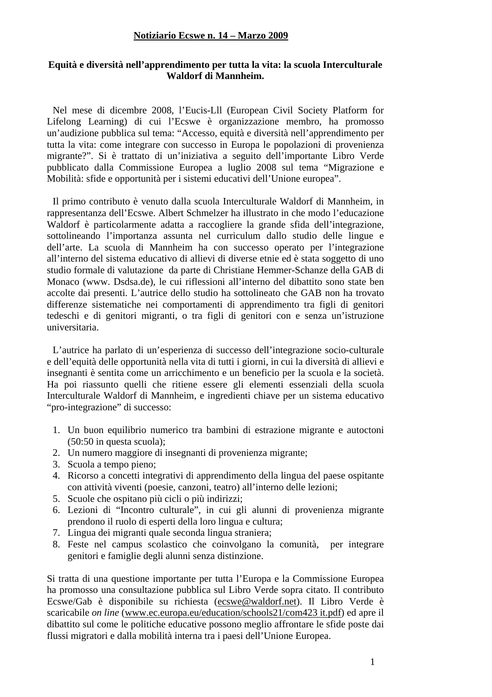#### **Notiziario Ecswe n. 14 – Marzo 2009**

#### **Equità e diversità nell'apprendimento per tutta la vita: la scuola Interculturale Waldorf di Mannheim.**

Nel mese di dicembre 2008, l'Eucis-Lll (European Civil Society Platform for Lifelong Learning) di cui l'Ecswe è organizzazione membro, ha promosso un'audizione pubblica sul tema: "Accesso, equità e diversità nell'apprendimento per tutta la vita: come integrare con successo in Europa le popolazioni di provenienza migrante?". Si è trattato di un'iniziativa a seguito dell'importante Libro Verde pubblicato dalla Commissione Europea a luglio 2008 sul tema "Migrazione e Mobilità: sfide e opportunità per i sistemi educativi dell'Unione europea".

Il primo contributo è venuto dalla scuola Interculturale Waldorf di Mannheim, in rappresentanza dell'Ecswe. Albert Schmelzer ha illustrato in che modo l'educazione Waldorf è particolarmente adatta a raccogliere la grande sfida dell'integrazione, sottolineando l'importanza assunta nel curriculum dallo studio delle lingue e dell'arte. La scuola di Mannheim ha con successo operato per l'integrazione all'interno del sistema educativo di allievi di diverse etnie ed è stata soggetto di uno studio formale di valutazione da parte di Christiane Hemmer-Schanze della GAB di Monaco (www. Dsdsa.de), le cui riflessioni all'interno del dibattito sono state ben accolte dai presenti. L'autrice dello studio ha sottolineato che GAB non ha trovato differenze sistematiche nei comportamenti di apprendimento tra figli di genitori tedeschi e di genitori migranti, o tra figli di genitori con e senza un'istruzione universitaria.

L'autrice ha parlato di un'esperienza di successo dell'integrazione socio-culturale e dell'equità delle opportunità nella vita di tutti i giorni, in cui la diversità di allievi e insegnanti è sentita come un arricchimento e un beneficio per la scuola e la società. Ha poi riassunto quelli che ritiene essere gli elementi essenziali della scuola Interculturale Waldorf di Mannheim, e ingredienti chiave per un sistema educativo "pro-integrazione" di successo:

- 1. Un buon equilibrio numerico tra bambini di estrazione migrante e autoctoni (50:50 in questa scuola);
- 2. Un numero maggiore di insegnanti di provenienza migrante;
- 3. Scuola a tempo pieno;
- 4. Ricorso a concetti integrativi di apprendimento della lingua del paese ospitante con attività viventi (poesie, canzoni, teatro) all'interno delle lezioni;
- 5. Scuole che ospitano più cicli o più indirizzi;
- 6. Lezioni di "Incontro culturale", in cui gli alunni di provenienza migrante prendono il ruolo di esperti della loro lingua e cultura;
- 7. Lingua dei migranti quale seconda lingua straniera;
- 8. Feste nel campus scolastico che coinvolgano la comunità, per integrare genitori e famiglie degli alunni senza distinzione.

Si tratta di una questione importante per tutta l'Europa e la Commissione Europea ha promosso una consultazione pubblica sul Libro Verde sopra citato. Il contributo Ecswe/Gab è disponibile su richiesta (ecswe@waldorf.net). Il Libro Verde è scaricabile *on line* (www.ec.europa.eu/education/schools21/com423 it.pdf) ed apre il dibattito sul come le politiche educative possono meglio affrontare le sfide poste dai flussi migratori e dalla mobilità interna tra i paesi dell'Unione Europea.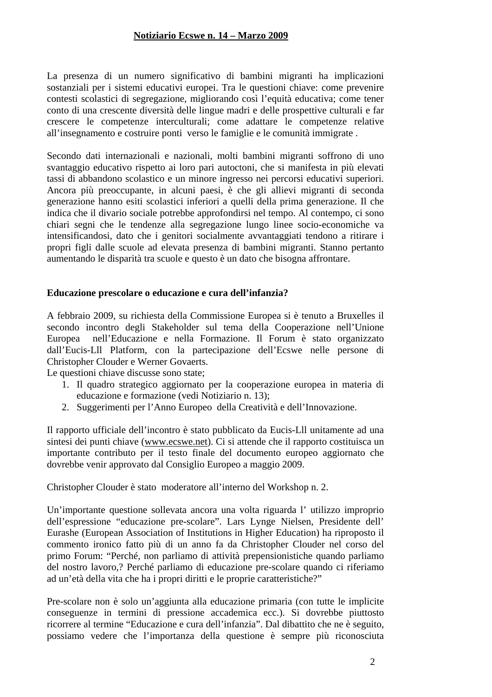#### **Notiziario Ecswe n. 14 – Marzo 2009**

La presenza di un numero significativo di bambini migranti ha implicazioni sostanziali per i sistemi educativi europei. Tra le questioni chiave: come prevenire contesti scolastici di segregazione, migliorando così l'equità educativa; come tener conto di una crescente diversità delle lingue madri e delle prospettive culturali e far crescere le competenze interculturali; come adattare le competenze relative all'insegnamento e costruire ponti verso le famiglie e le comunità immigrate .

Secondo dati internazionali e nazionali, molti bambini migranti soffrono di uno svantaggio educativo rispetto ai loro pari autoctoni, che si manifesta in più elevati tassi di abbandono scolastico e un minore ingresso nei percorsi educativi superiori. Ancora più preoccupante, in alcuni paesi, è che gli allievi migranti di seconda generazione hanno esiti scolastici inferiori a quelli della prima generazione. Il che indica che il divario sociale potrebbe approfondirsi nel tempo. Al contempo, ci sono chiari segni che le tendenze alla segregazione lungo linee socio-economiche va intensificandosi, dato che i genitori socialmente avvantaggiati tendono a ritirare i propri figli dalle scuole ad elevata presenza di bambini migranti. Stanno pertanto aumentando le disparità tra scuole e questo è un dato che bisogna affrontare.

#### **Educazione prescolare o educazione e cura dell'infanzia?**

A febbraio 2009, su richiesta della Commissione Europea si è tenuto a Bruxelles il secondo incontro degli Stakeholder sul tema della Cooperazione nell'Unione Europea nell'Educazione e nella Formazione. Il Forum è stato organizzato dall'Eucis-Lll Platform, con la partecipazione dell'Ecswe nelle persone di Christopher Clouder e Werner Govaerts.

Le questioni chiave discusse sono state;

- 1. Il quadro strategico aggiornato per la cooperazione europea in materia di educazione e formazione (vedi Notiziario n. 13);
- 2. Suggerimenti per l'Anno Europeo della Creatività e dell'Innovazione.

Il rapporto ufficiale dell'incontro è stato pubblicato da Eucis-Lll unitamente ad una sintesi dei punti chiave (www.ecswe.net). Ci si attende che il rapporto costituisca un importante contributo per il testo finale del documento europeo aggiornato che dovrebbe venir approvato dal Consiglio Europeo a maggio 2009.

Christopher Clouder è stato moderatore all'interno del Workshop n. 2.

Un'importante questione sollevata ancora una volta riguarda l' utilizzo improprio dell'espressione "educazione pre-scolare". Lars Lynge Nielsen, Presidente dell' Eurashe (European Association of Institutions in Higher Education) ha riproposto il commento ironico fatto più di un anno fa da Christopher Clouder nel corso del primo Forum: "Perché, non parliamo di attività prepensionistiche quando parliamo del nostro lavoro,? Perché parliamo di educazione pre-scolare quando ci riferiamo ad un'età della vita che ha i propri diritti e le proprie caratteristiche?"

Pre-scolare non è solo un'aggiunta alla educazione primaria (con tutte le implicite conseguenze in termini di pressione accademica ecc.). Si dovrebbe piuttosto ricorrere al termine "Educazione e cura dell'infanzia". Dal dibattito che ne è seguito, possiamo vedere che l'importanza della questione è sempre più riconosciuta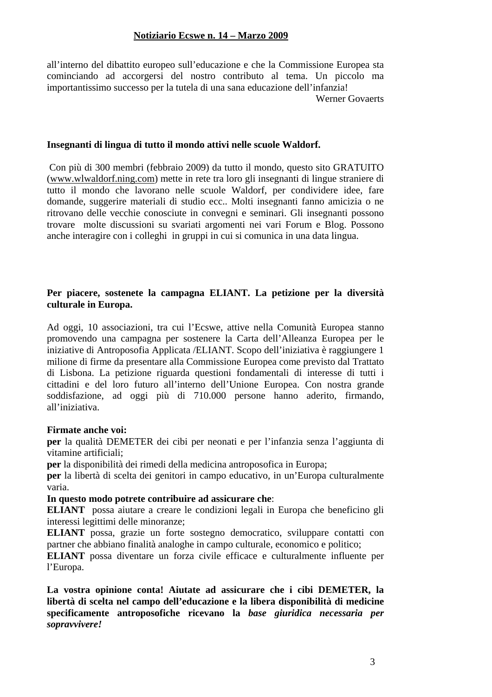all'interno del dibattito europeo sull'educazione e che la Commissione Europea sta cominciando ad accorgersi del nostro contributo al tema. Un piccolo ma importantissimo successo per la tutela di una sana educazione dell'infanzia!

Werner Govaerts

#### **Insegnanti di lingua di tutto il mondo attivi nelle scuole Waldorf.**

 Con più di 300 membri (febbraio 2009) da tutto il mondo, questo sito GRATUITO (www.wlwaldorf.ning.com) mette in rete tra loro gli insegnanti di lingue straniere di tutto il mondo che lavorano nelle scuole Waldorf, per condividere idee, fare domande, suggerire materiali di studio ecc.. Molti insegnanti fanno amicizia o ne ritrovano delle vecchie conosciute in convegni e seminari. Gli insegnanti possono trovare molte discussioni su svariati argomenti nei vari Forum e Blog. Possono anche interagire con i colleghi in gruppi in cui si comunica in una data lingua.

#### **Per piacere, sostenete la campagna ELIANT. La petizione per la diversità culturale in Europa.**

Ad oggi, 10 associazioni, tra cui l'Ecswe, attive nella Comunità Europea stanno promovendo una campagna per sostenere la Carta dell'Alleanza Europea per le iniziative di Antroposofia Applicata /ELIANT. Scopo dell'iniziativa è raggiungere 1 milione di firme da presentare alla Commissione Europea come previsto dal Trattato di Lisbona. La petizione riguarda questioni fondamentali di interesse di tutti i cittadini e del loro futuro all'interno dell'Unione Europea. Con nostra grande soddisfazione, ad oggi più di 710.000 persone hanno aderito, firmando, all'iniziativa.

#### **Firmate anche voi:**

**per** la qualità DEMETER dei cibi per neonati e per l'infanzia senza l'aggiunta di vitamine artificiali;

**per** la disponibilità dei rimedi della medicina antroposofica in Europa;

**per** la libertà di scelta dei genitori in campo educativo, in un'Europa culturalmente varia.

#### **In questo modo potrete contribuire ad assicurare che**:

**ELIANT** possa aiutare a creare le condizioni legali in Europa che beneficino gli interessi legittimi delle minoranze;

**ELIANT** possa, grazie un forte sostegno democratico, sviluppare contatti con partner che abbiano finalità analoghe in campo culturale, economico e politico;

**ELIANT** possa diventare un forza civile efficace e culturalmente influente per l'Europa.

**La vostra opinione conta! Aiutate ad assicurare che i cibi DEMETER, la libertà di scelta nel campo dell'educazione e la libera disponibilità di medicine specificamente antroposofiche ricevano la** *base giuridica necessaria per sopravvivere!*